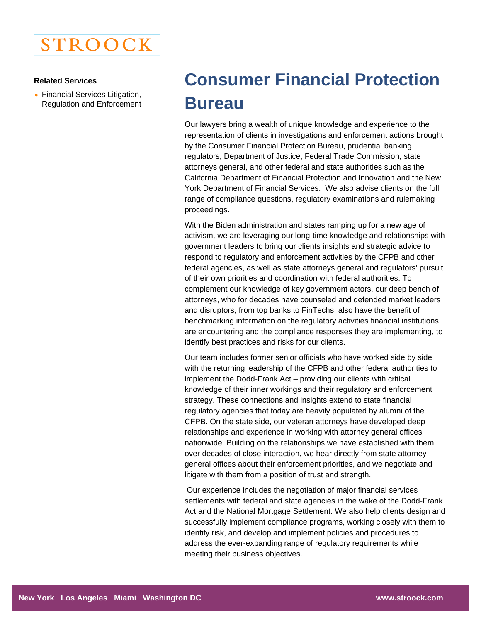

## **Related Services**

• Financial Services Litigation, Regulation and Enforcement

## **Consumer Financial Protection Bureau**

Our lawyers bring a wealth of unique knowledge and experience to the representation of clients in investigations and enforcement actions brought by the Consumer Financial Protection Bureau, prudential banking regulators, Department of Justice, Federal Trade Commission, state attorneys general, and other federal and state authorities such as the California Department of Financial Protection and Innovation and the New York Department of Financial Services. We also advise clients on the full range of compliance questions, regulatory examinations and rulemaking proceedings.

With the Biden administration and states ramping up for a new age of activism, we are leveraging our long-time knowledge and relationships with government leaders to bring our clients insights and strategic advice to respond to regulatory and enforcement activities by the CFPB and other federal agencies, as well as state attorneys general and regulators' pursuit of their own priorities and coordination with federal authorities. To complement our knowledge of key government actors, our deep bench of attorneys, who for decades have counseled and defended market leaders and disruptors, from top banks to FinTechs, also have the benefit of benchmarking information on the regulatory activities financial institutions are encountering and the compliance responses they are implementing, to identify best practices and risks for our clients.

Our team includes former senior officials who have worked side by side with the returning leadership of the CFPB and other federal authorities to implement the Dodd-Frank Act – providing our clients with critical knowledge of their inner workings and their regulatory and enforcement strategy. These connections and insights extend to state financial regulatory agencies that today are heavily populated by alumni of the CFPB. On the state side, our veteran attorneys have developed deep relationships and experience in working with attorney general offices nationwide. Building on the relationships we have established with them over decades of close interaction, we hear directly from state attorney general offices about their enforcement priorities, and we negotiate and litigate with them from a position of trust and strength.

 Our experience includes the negotiation of major financial services settlements with federal and state agencies in the wake of the Dodd-Frank Act and the National Mortgage Settlement. We also help clients design and successfully implement compliance programs, working closely with them to identify risk, and develop and implement policies and procedures to address the ever-expanding range of regulatory requirements while meeting their business objectives.